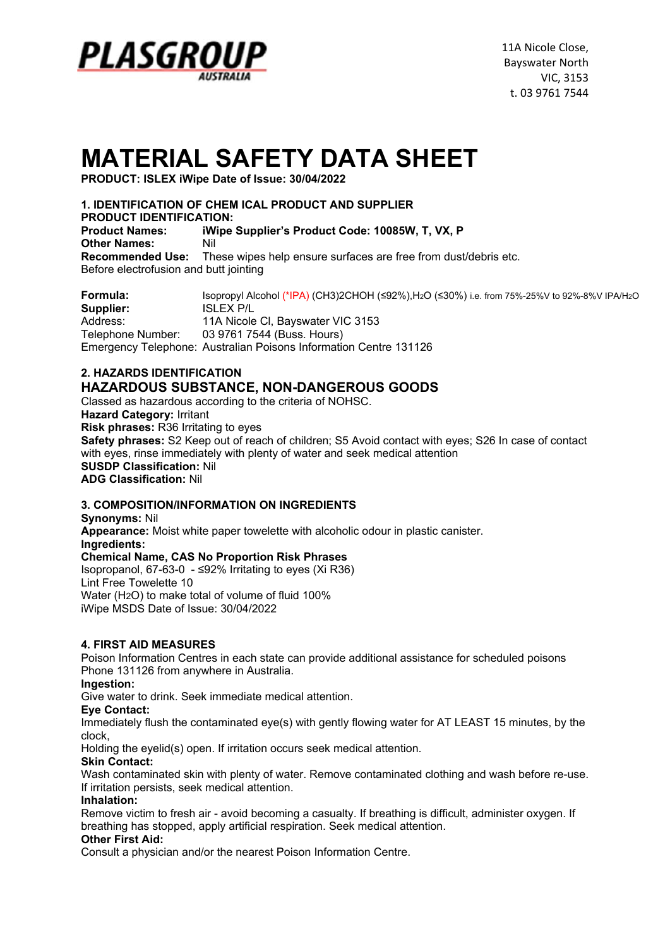

# **MATERIAL SAFETY DATA SHEET**

**PRODUCT: ISLEX iWipe Date of Issue: 30/04/2022**

### **1. IDENTIFICATION OF CHEM ICAL PRODUCT AND SUPPLIER**

**PRODUCT IDENTIFICATION:**

**Product Names: iWipe Supplier's Product Code: 10085W, T, VX, P Other Names:** Nil **Recommended Use:** These wipes help ensure surfaces are free from dust/debris etc. Before electrofusion and butt jointing

**Formula:** Isopropyl Alcohol (\*IPA) (CH3)2CHOH (≤92%),H2O (≤30%) i.e. from 75%-25%V to 92%-8%V IPA/H2O **Supplier:** ISLEX P/L Address: 11A Nicole Cl, Bayswater VIC 3153 Telephone Number: 03 9761 7544 (Buss. Hours) Emergency Telephone: Australian Poisons Information Centre 131126

# **2. HAZARDS IDENTIFICATION HAZARDOUS SUBSTANCE, NON-DANGEROUS GOODS**

Classed as hazardous according to the criteria of NOHSC.

**Hazard Category:** Irritant

**Risk phrases:** R36 Irritating to eyes

**Safety phrases:** S2 Keep out of reach of children; S5 Avoid contact with eyes; S26 In case of contact with eyes, rinse immediately with plenty of water and seek medical attention

**SUSDP Classification:** Nil

**ADG Classification:** Nil

# **3. COMPOSITION/INFORMATION ON INGREDIENTS**

**Synonyms:** Nil **Appearance:** Moist white paper towelette with alcoholic odour in plastic canister. **Ingredients: Chemical Name, CAS No Proportion Risk Phrases** Isopropanol, 67-63-0 - ≤92% Irritating to eyes (Xi R36) Lint Free Towelette 10 Water (H2O) to make total of volume of fluid 100% iWipe MSDS Date of Issue: 30/04/2022

# **4. FIRST AID MEASURES**

Poison Information Centres in each state can provide additional assistance for scheduled poisons Phone 131126 from anywhere in Australia.

**Ingestion:**

Give water to drink. Seek immediate medical attention.

#### **Eye Contact:**

Immediately flush the contaminated eye(s) with gently flowing water for AT LEAST 15 minutes, by the clock,

Holding the eyelid(s) open. If irritation occurs seek medical attention.

# **Skin Contact:**

Wash contaminated skin with plenty of water. Remove contaminated clothing and wash before re-use. If irritation persists, seek medical attention.

#### **Inhalation:**

Remove victim to fresh air - avoid becoming a casualty. If breathing is difficult, administer oxygen. If breathing has stopped, apply artificial respiration. Seek medical attention.

#### **Other First Aid:**

Consult a physician and/or the nearest Poison Information Centre.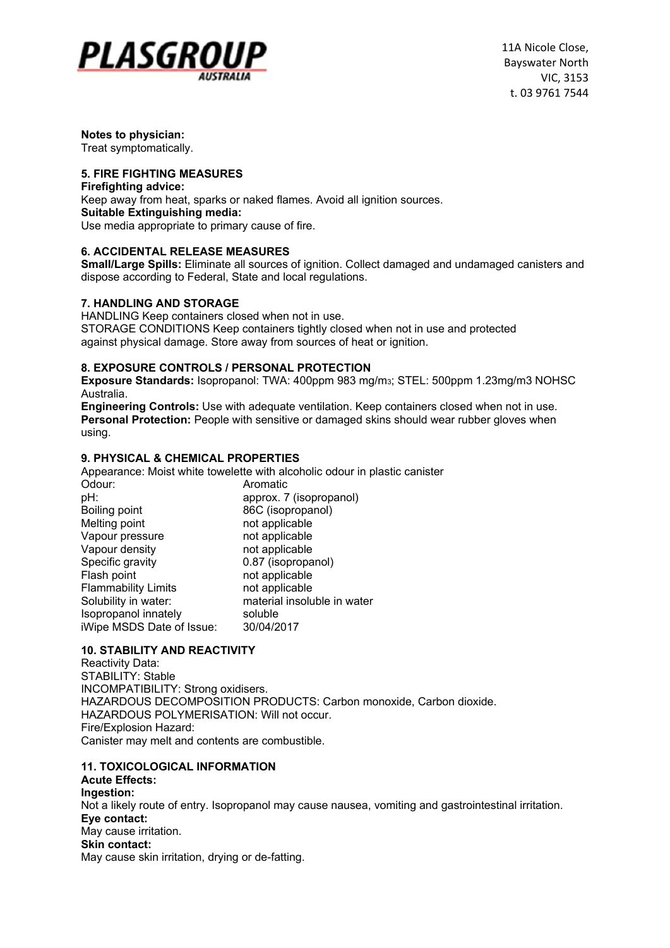

11A Nicole Close, Bayswater North VIC, 3153 t. 03 9761 7544

**Notes to physician:**  Treat symptomatically.

#### **5. FIRE FIGHTING MEASURES**

**Firefighting advice:** Keep away from heat, sparks or naked flames. Avoid all ignition sources. **Suitable Extinguishing media:** Use media appropriate to primary cause of fire.

#### **6. ACCIDENTAL RELEASE MEASURES**

**Small/Large Spills:** Eliminate all sources of ignition. Collect damaged and undamaged canisters and dispose according to Federal, State and local regulations.

#### **7. HANDLING AND STORAGE**

HANDLING Keep containers closed when not in use. STORAGE CONDITIONS Keep containers tightly closed when not in use and protected against physical damage. Store away from sources of heat or ignition.

#### **8. EXPOSURE CONTROLS / PERSONAL PROTECTION**

**Exposure Standards:** Isopropanol: TWA: 400ppm 983 mg/m3; STEL: 500ppm 1.23mg/m3 NOHSC Australia.

**Engineering Controls:** Use with adequate ventilation. Keep containers closed when not in use. **Personal Protection:** People with sensitive or damaged skins should wear rubber gloves when using.

#### **9. PHYSICAL & CHEMICAL PROPERTIES**

Appearance: Moist white towelette with alcoholic odour in plastic canister

| Odour:                     | Aromatic                    |
|----------------------------|-----------------------------|
| pH:                        | approx. 7 (isopropanol)     |
| Boiling point              | 86C (isopropanol)           |
| Melting point              | not applicable              |
| Vapour pressure            | not applicable              |
| Vapour density             | not applicable              |
| Specific gravity           | 0.87 (isopropanol)          |
| Flash point                | not applicable              |
| <b>Flammability Limits</b> | not applicable              |
| Solubility in water:       | material insoluble in water |
| Isopropanol innately       | soluble                     |
| iWipe MSDS Date of Issue:  | 30/04/2017                  |

# **10. STABILITY AND REACTIVITY**

Reactivity Data: STABILITY: Stable INCOMPATIBILITY: Strong oxidisers. HAZARDOUS DECOMPOSITION PRODUCTS: Carbon monoxide, Carbon dioxide. HAZARDOUS POLYMERISATION: Will not occur. Fire/Explosion Hazard: Canister may melt and contents are combustible.

# **11. TOXICOLOGICAL INFORMATION**

#### **Acute Effects: Ingestion:** Not a likely route of entry. Isopropanol may cause nausea, vomiting and gastrointestinal irritation. **Eye contact:** May cause irritation. **Skin contact:** May cause skin irritation, drying or de-fatting.